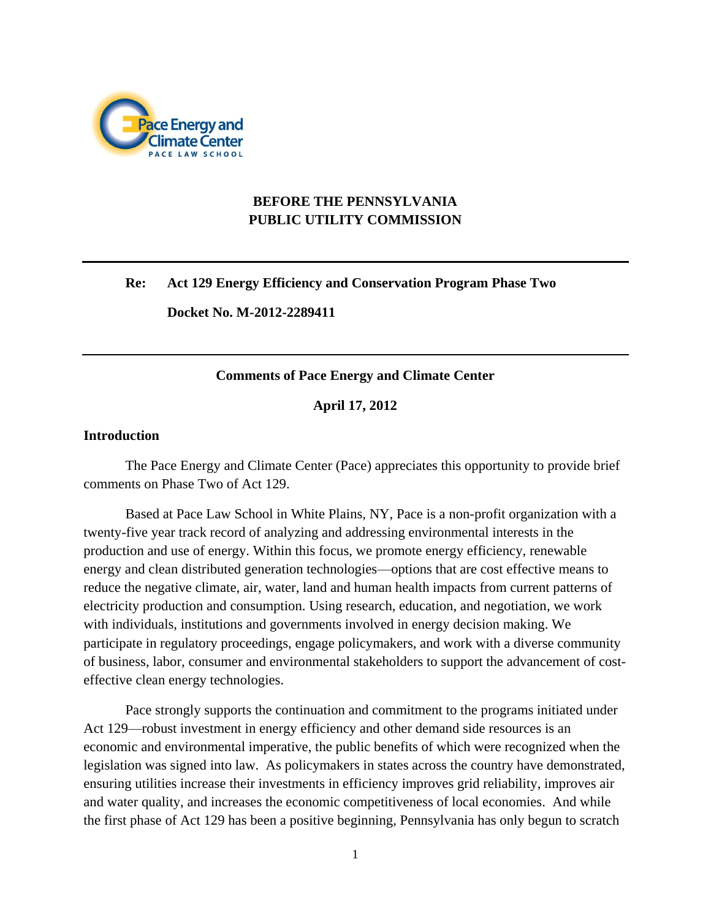

# **BEFORE THE PENNSYLVANIA PUBLIC UTILITY COMMISSION**

#### **Re: Act 129 Energy Efficiency and Conservation Program Phase Two**

**Docket No. M-2012-2289411**

#### **Comments of Pace Energy and Climate Center**

**April 17, 2012**

### **Introduction**

The Pace Energy and Climate Center (Pace) appreciates this opportunity to provide brief comments on Phase Two of Act 129.

Based at Pace Law School in White Plains, NY, Pace is a non-profit organization with a twenty-five year track record of analyzing and addressing environmental interests in the production and use of energy. Within this focus, we promote energy efficiency, renewable energy and clean distributed generation technologies—options that are cost effective means to reduce the negative climate, air, water, land and human health impacts from current patterns of electricity production and consumption. Using research, education, and negotiation, we work with individuals, institutions and governments involved in energy decision making. We participate in regulatory proceedings, engage policymakers, and work with a diverse community of business, labor, consumer and environmental stakeholders to support the advancement of costeffective clean energy technologies.

Pace strongly supports the continuation and commitment to the programs initiated under Act 129—robust investment in energy efficiency and other demand side resources is an economic and environmental imperative, the public benefits of which were recognized when the legislation was signed into law. As policymakers in states across the country have demonstrated, ensuring utilities increase their investments in efficiency improves grid reliability, improves air and water quality, and increases the economic competitiveness of local economies. And while the first phase of Act 129 has been a positive beginning, Pennsylvania has only begun to scratch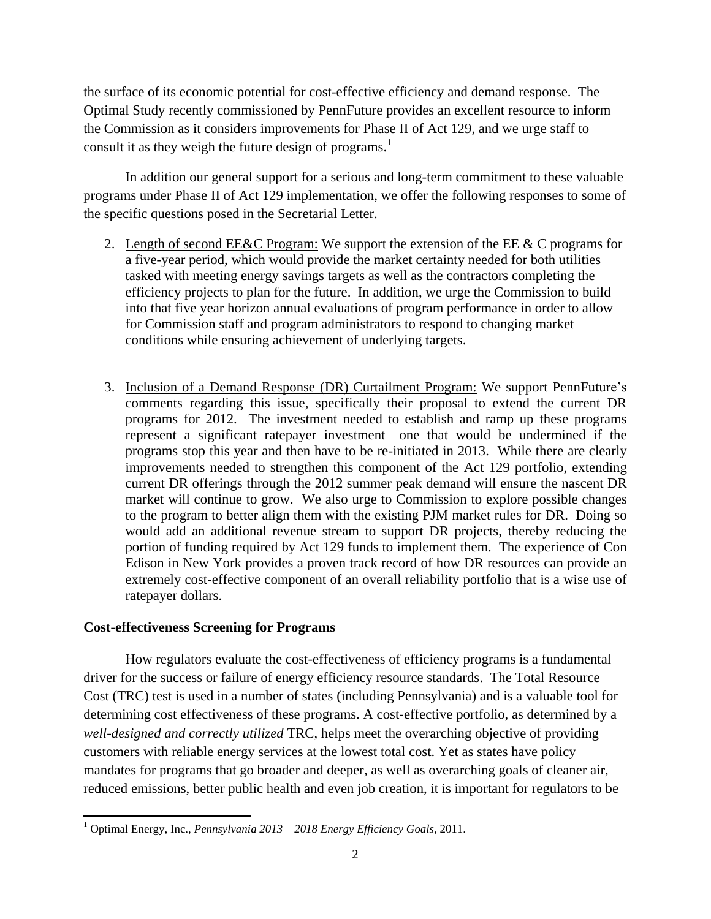the surface of its economic potential for cost-effective efficiency and demand response. The Optimal Study recently commissioned by PennFuture provides an excellent resource to inform the Commission as it considers improvements for Phase II of Act 129, and we urge staff to consult it as they weigh the future design of programs.<sup>1</sup>

In addition our general support for a serious and long-term commitment to these valuable programs under Phase II of Act 129 implementation, we offer the following responses to some of the specific questions posed in the Secretarial Letter.

- 2. Length of second EE&C Program: We support the extension of the EE & C programs for a five-year period, which would provide the market certainty needed for both utilities tasked with meeting energy savings targets as well as the contractors completing the efficiency projects to plan for the future. In addition, we urge the Commission to build into that five year horizon annual evaluations of program performance in order to allow for Commission staff and program administrators to respond to changing market conditions while ensuring achievement of underlying targets.
- 3. Inclusion of a Demand Response (DR) Curtailment Program: We support PennFuture's comments regarding this issue, specifically their proposal to extend the current DR programs for 2012. The investment needed to establish and ramp up these programs represent a significant ratepayer investment—one that would be undermined if the programs stop this year and then have to be re-initiated in 2013. While there are clearly improvements needed to strengthen this component of the Act 129 portfolio, extending current DR offerings through the 2012 summer peak demand will ensure the nascent DR market will continue to grow. We also urge to Commission to explore possible changes to the program to better align them with the existing PJM market rules for DR. Doing so would add an additional revenue stream to support DR projects, thereby reducing the portion of funding required by Act 129 funds to implement them. The experience of Con Edison in New York provides a proven track record of how DR resources can provide an extremely cost-effective component of an overall reliability portfolio that is a wise use of ratepayer dollars.

## **Cost-effectiveness Screening for Programs**

How regulators evaluate the cost-effectiveness of efficiency programs is a fundamental driver for the success or failure of energy efficiency resource standards. The Total Resource Cost (TRC) test is used in a number of states (including Pennsylvania) and is a valuable tool for determining cost effectiveness of these programs. A cost-effective portfolio, as determined by a *well-designed and correctly utilized* TRC, helps meet the overarching objective of providing customers with reliable energy services at the lowest total cost. Yet as states have policy mandates for programs that go broader and deeper, as well as overarching goals of cleaner air, reduced emissions, better public health and even job creation, it is important for regulators to be

 $\overline{\phantom{a}}$ <sup>1</sup> Optimal Energy, Inc., *Pennsylvania 2013 – 2018 Energy Efficiency Goals*, 2011.